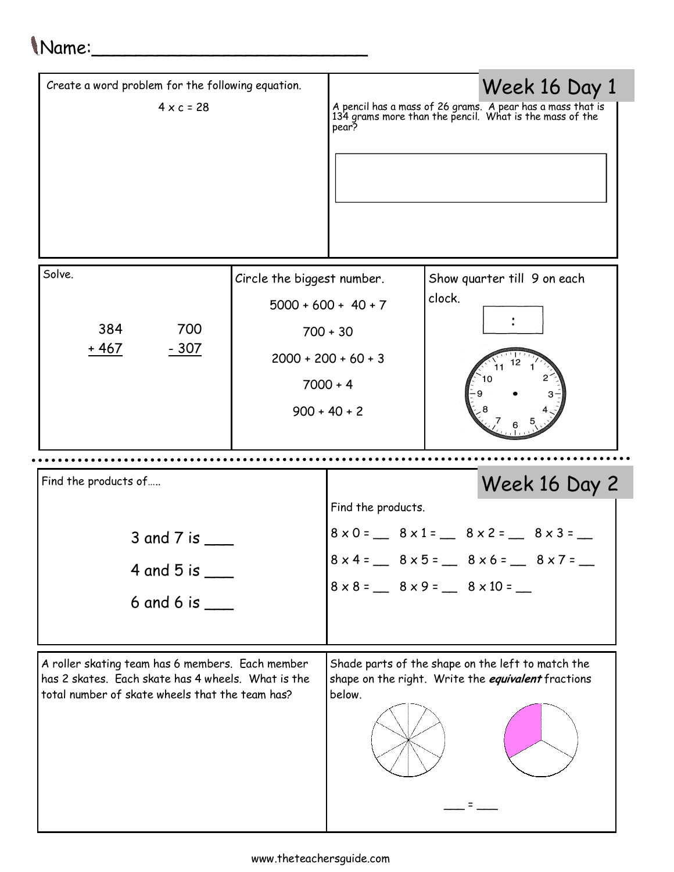## Name:\_\_\_\_\_\_\_\_\_\_\_\_\_\_\_\_\_\_\_\_\_\_\_\_\_

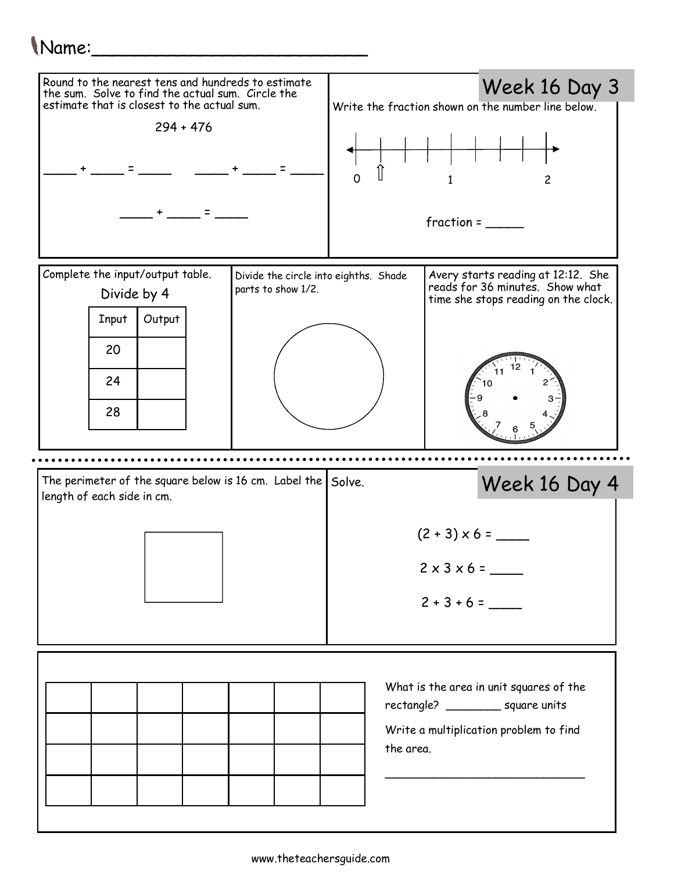## Name:\_\_\_\_\_\_\_\_\_\_\_\_\_\_\_\_\_\_\_\_\_\_\_\_\_